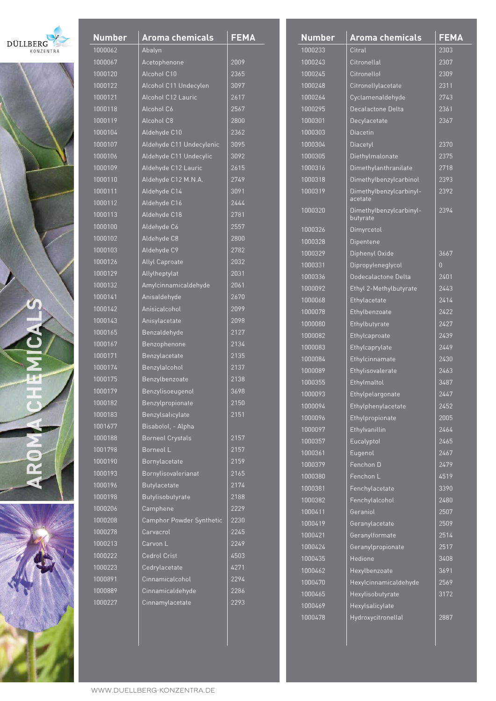





| <b>Number</b> | <b>Aroma chemicals</b>    | <b>FEMA</b> |
|---------------|---------------------------|-------------|
| 1000062       | Abalyn                    |             |
| 1000067       | Acetophenone              | 2009        |
| 1000120       | Alcohol C10               | 2365        |
| 1000122       | Alcohol C11 Undecylen     | 3097        |
| 1000121       | <b>Alcohol C12 Lauric</b> | 2617        |
| 1000118       | Alcohol C6                | 2567        |
| 1000119       | Alcohol C8                | 2800        |
| 1000104       | Aldehyde C10              | 2362        |
| 1000107       | Aldehyde C11 Undecylenic  | 3095        |
| 1000106       | Aldehyde C11 Undecylic    | 3092        |
| 1000109       | Aldehyde C12 Lauric       | 2615        |
| 1000110       | Aldehyde C12 M.N.A.       | 2749        |
| 1000111       | Aldehyde C14              | 3091        |
| 1000112       | Aldehyde C16              | 2444        |
| 1000113       | Aldehyde C18              | 2781        |
| 1000100       | Aldehyde C6               | 2557        |
| 1000102       | Aldehyde C8               | 2800        |
| 1000103       | Aldehyde C9               | 2782        |
| 1000126       | <b>Allyl Caproate</b>     | 2032        |
| 1000129       | Allylheptylat             | 2031        |
| 1000132       | Amylcinnamicaldehyde      | 2061        |
| 1000141       | Anisaldehyde              | 2670        |
| 1000142       | Anisicalcohol             | 2099        |
| 1000143       | Anisylacetate             | 2098        |
| 1000165       | Benzaldehyde              | 2127        |
| 1000167       | Benzophenone              | 2134        |
| 1000171       | Benzylacetate             | 2135        |
| 1000174       | Benzylalcohol             | 2137        |
| 1000175       | Benzylbenzoate            | 2138        |
| 1000179       | Benzylisoeugenol          | 3698        |
| 1000182       | Benzylpropionate          | 2150        |
| 1000183       | Benzylsalicylate          | 2151        |
| 1001677       | Bisabolol, - Alpha        |             |
| 1000188       | <b>Borneol Crystals</b>   | 2157        |
| 1001798       | Borneol L                 | 2157        |
| 1000190       | <b>Bornylacetate</b>      | 2159        |
| 1000193       | Bornylisovalerianat       | 2165        |
| 1000196       | <b>Butylacetate</b>       | 2174        |
| 1000198       | Butylisobutyrate          | 2188        |
| 1000206       | Camphene                  | 2229        |
| 1000208       | Camphor Powder Synthetic  | 2230        |
| 1000278       | Carvacrol                 | 2245        |
| 1000213       | Carvon L                  | 2249        |
| 1000222       | <b>Cedrol Crist</b>       | 4503        |
| 1000223       | Cedrylacetate             | 4271        |
| 1000891       | Cinnamicalcohol           | 2294        |
| 1000889       | Cinnamicaldehyde          | 2286        |
| 1000227       | Cinnamylacetate           | 2293        |
|               |                           |             |

| <b>Number</b> | <u>Aroma chemicals</u>              | <b>FEMA</b> |
|---------------|-------------------------------------|-------------|
| 1000233       | Citral                              | 2303        |
| 1000243       | Citronellal                         | 2307        |
| 1000245       | Citronellol                         | 2309        |
| 1000248       | Citronellylacetate                  | 2311        |
| 1000264       | Cyclamenaldehyde                    | 2743        |
| 1000295       | Decalactone Delta                   | 2361        |
| 1000301       | Decylacetate                        | 2367        |
| 1000303       | <b>Diacetin</b>                     |             |
| 1000304       | Diacetyl                            | 2370        |
| 1000305       | Diethylmalonate                     | 2375        |
| 1000316       | Dimethylanthranilate                | 2718        |
| 1000318       | Dimethylbenzylcarbinol              | 2393        |
| 1000319       | Dimethylbenzylcarbinyl-<br>acetate  | 2392        |
| 1000320       | Dimethylbenzylcarbinyl-<br>butyrate | 2394        |
| 1000326       | Dimyrcetol                          |             |
| 1000328       | <b>Dipentene</b>                    |             |
| 1000329       | Diphenyl Oxide                      | 3667        |
| 1000331       | Dipropyleneglycol                   | Ŋ           |
| 1000336       | Dodecalactone Delta                 | 2401        |
| 1000092       | Ethyl 2-Methylbutyrate              | 2443        |
| 1000068       | Ethylacetate                        | 2414        |
| 1000078       | Ethylbenzoate                       | 2422        |
| 1000080       | Ethylbutyrate                       | 2427        |
| 1000082       | Ethylcaproate                       | 2439        |
| 1000083       | Ethylcaprylate                      | 2449        |
| 1000084       | Ethylcinnamate                      | 2430        |
| 1000089       | Ethylisovalerate                    | 2463        |
| 1000355       | Ethylmaltol                         | 3487        |
| 1000093       | Ethylpelargonate                    | 2447        |
| 1000094       | Ethylphenylacetate                  | 2452        |
| 1000096       | Ethylpropionate                     | 2005        |
| 1000097       | Ethylvanillin                       | 2464        |
| 1000357       | Eucalyptol                          | 2465        |
| 1000361       | Eugenol                             | 2467        |
| 1000379       | Fenchon D                           | 2479        |
| 1000380       | Fenchon L                           | 4519        |
| 1000381       | Fenchylacetate                      | 3390        |
| 1000382       | Fenchylalcohol                      | 2480        |
| 1000411       | Geraniol                            | 2507        |
| 1000419       | Geranylacetate                      | 2509        |
| 1000421       | Geranylformate                      | 2514        |
| 1000424       | Geranylpropionate                   | 2517        |
| 1000435       | Hedione                             | 3408        |
| 1000462       | Hexylbenzoate                       | 3691        |
| 1000470       | Hexylcinnamicaldehyde               | 2569        |
| 1000465       | Hexylisobutyrate                    | 3172        |
| 1000469       | Hexylsalicylate                     |             |
| 1000478       | Hydroxycitronellal                  | 2887        |